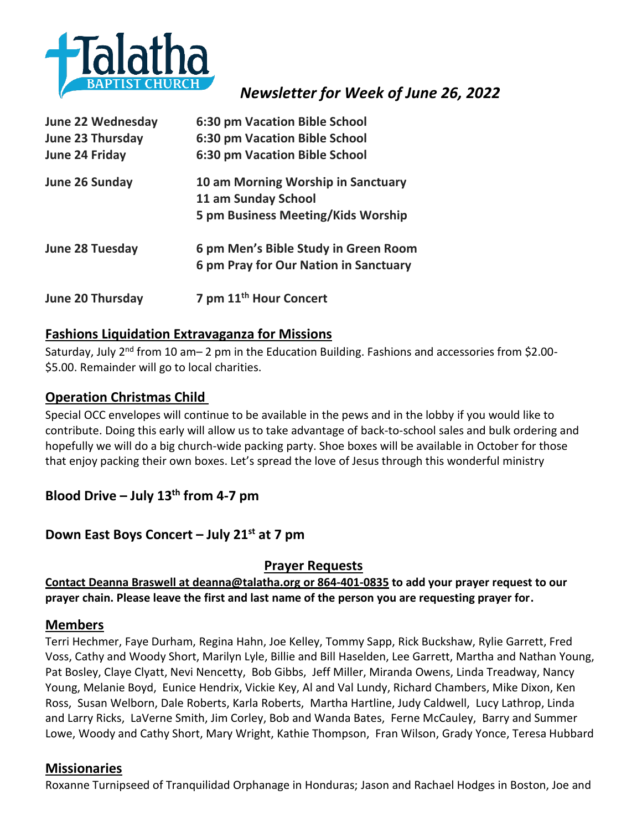

# *Newsletter for Week of June 26, 2022*

| <b>June 22 Wednesday</b> | 6:30 pm Vacation Bible School         |
|--------------------------|---------------------------------------|
| <b>June 23 Thursday</b>  | 6:30 pm Vacation Bible School         |
| <b>June 24 Friday</b>    | 6:30 pm Vacation Bible School         |
| June 26 Sunday           | 10 am Morning Worship in Sanctuary    |
|                          | 11 am Sunday School                   |
|                          | 5 pm Business Meeting/Kids Worship    |
| <b>June 28 Tuesday</b>   | 6 pm Men's Bible Study in Green Room  |
|                          | 6 pm Pray for Our Nation in Sanctuary |
| June 20 Thursday         | 7 pm 11 <sup>th</sup> Hour Concert    |

### **Fashions Liquidation Extravaganza for Missions**

Saturday, July 2<sup>nd</sup> from 10 am-2 pm in the Education Building. Fashions and accessories from \$2.00-\$5.00. Remainder will go to local charities.

#### **Operation Christmas Child**

Special OCC envelopes will continue to be available in the pews and in the lobby if you would like to contribute. Doing this early will allow us to take advantage of back-to-school sales and bulk ordering and hopefully we will do a big church-wide packing party. Shoe boxes will be available in October for those that enjoy packing their own boxes. Let's spread the love of Jesus through this wonderful ministry

# **Blood Drive – July 13th from 4-7 pm**

# **Down East Boys Concert – July 21st at 7 pm**

#### **Prayer Requests**

**Contact Deanna Braswell at [deanna@talatha.org o](mailto:deanna@talatha.org)r 864-401-0835 to add your prayer request to our prayer chain. Please leave the first and last name of the person you are requesting prayer for.**

#### **Members**

Terri Hechmer, Faye Durham, Regina Hahn, Joe Kelley, Tommy Sapp, Rick Buckshaw, Rylie Garrett, Fred Voss, Cathy and Woody Short, Marilyn Lyle, Billie and Bill Haselden, Lee Garrett, Martha and Nathan Young, Pat Bosley, Claye Clyatt, Nevi Nencetty, Bob Gibbs, Jeff Miller, Miranda Owens, Linda Treadway, Nancy Young, Melanie Boyd, Eunice Hendrix, Vickie Key, Al and Val Lundy, Richard Chambers, Mike Dixon, Ken Ross, Susan Welborn, Dale Roberts, Karla Roberts, Martha Hartline, Judy Caldwell, Lucy Lathrop, Linda and Larry Ricks, LaVerne Smith, Jim Corley, Bob and Wanda Bates, Ferne McCauley, Barry and Summer Lowe, Woody and Cathy Short, Mary Wright, Kathie Thompson, Fran Wilson, Grady Yonce, Teresa Hubbard

#### **Missionaries**

Roxanne Turnipseed of Tranquilidad Orphanage in Honduras; Jason and Rachael Hodges in Boston, Joe and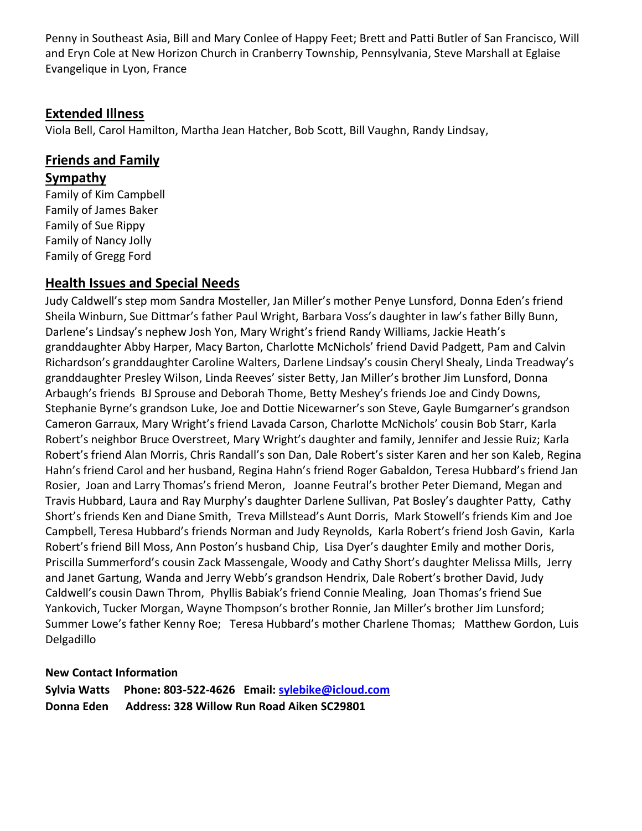Penny in Southeast Asia, Bill and Mary Conlee of Happy Feet; Brett and Patti Butler of San Francisco, Will and Eryn Cole at New Horizon Church in Cranberry Township, Pennsylvania, Steve Marshall at Eglaise Evangelique in Lyon, France

## **Extended Illness**

Viola Bell, Carol Hamilton, Martha Jean Hatcher, Bob Scott, Bill Vaughn, Randy Lindsay,

# **Friends and Family**

#### **Sympathy**

Family of Kim Campbell Family of James Baker Family of Sue Rippy Family of Nancy Jolly Family of Gregg Ford

# **Health Issues and Special Needs**

Judy Caldwell's step mom Sandra Mosteller, Jan Miller's mother Penye Lunsford, Donna Eden's friend Sheila Winburn, Sue Dittmar's father Paul Wright, Barbara Voss's daughter in law's father Billy Bunn, Darlene's Lindsay's nephew Josh Yon, Mary Wright's friend Randy Williams, Jackie Heath's granddaughter Abby Harper, Macy Barton, Charlotte McNichols' friend David Padgett, Pam and Calvin Richardson's granddaughter Caroline Walters, Darlene Lindsay's cousin Cheryl Shealy, Linda Treadway's granddaughter Presley Wilson, Linda Reeves' sister Betty, Jan Miller's brother Jim Lunsford, Donna Arbaugh's friends BJ Sprouse and Deborah Thome, Betty Meshey's friends Joe and Cindy Downs, Stephanie Byrne's grandson Luke, Joe and Dottie Nicewarner's son Steve, Gayle Bumgarner's grandson Cameron Garraux, Mary Wright's friend Lavada Carson, Charlotte McNichols' cousin Bob Starr, Karla Robert's neighbor Bruce Overstreet, Mary Wright's daughter and family, Jennifer and Jessie Ruiz; Karla Robert's friend Alan Morris, Chris Randall's son Dan, Dale Robert's sister Karen and her son Kaleb, Regina Hahn's friend Carol and her husband, Regina Hahn's friend Roger Gabaldon, Teresa Hubbard's friend Jan Rosier, Joan and Larry Thomas's friend Meron, Joanne Feutral's brother Peter Diemand, Megan and Travis Hubbard, Laura and Ray Murphy's daughter Darlene Sullivan, Pat Bosley's daughter Patty, Cathy Short's friends Ken and Diane Smith, Treva Millstead's Aunt Dorris, Mark Stowell's friends Kim and Joe Campbell, Teresa Hubbard's friends Norman and Judy Reynolds, Karla Robert's friend Josh Gavin, Karla Robert's friend Bill Moss, Ann Poston's husband Chip, Lisa Dyer's daughter Emily and mother Doris, Priscilla Summerford's cousin Zack Massengale, Woody and Cathy Short's daughter Melissa Mills, Jerry and Janet Gartung, Wanda and Jerry Webb's grandson Hendrix, Dale Robert's brother David, Judy Caldwell's cousin Dawn Throm, Phyllis Babiak's friend Connie Mealing, Joan Thomas's friend Sue Yankovich, Tucker Morgan, Wayne Thompson's brother Ronnie, Jan Miller's brother Jim Lunsford; Summer Lowe's father Kenny Roe; Teresa Hubbard's mother Charlene Thomas; Matthew Gordon, Luis Delgadillo

#### **New Contact Information**

**Sylvia Watts Phone: 803-522-4626 Email: [sylebike@icloud.com](mailto:sylebike@icloud.com) Donna Eden Address: 328 Willow Run Road Aiken SC29801**